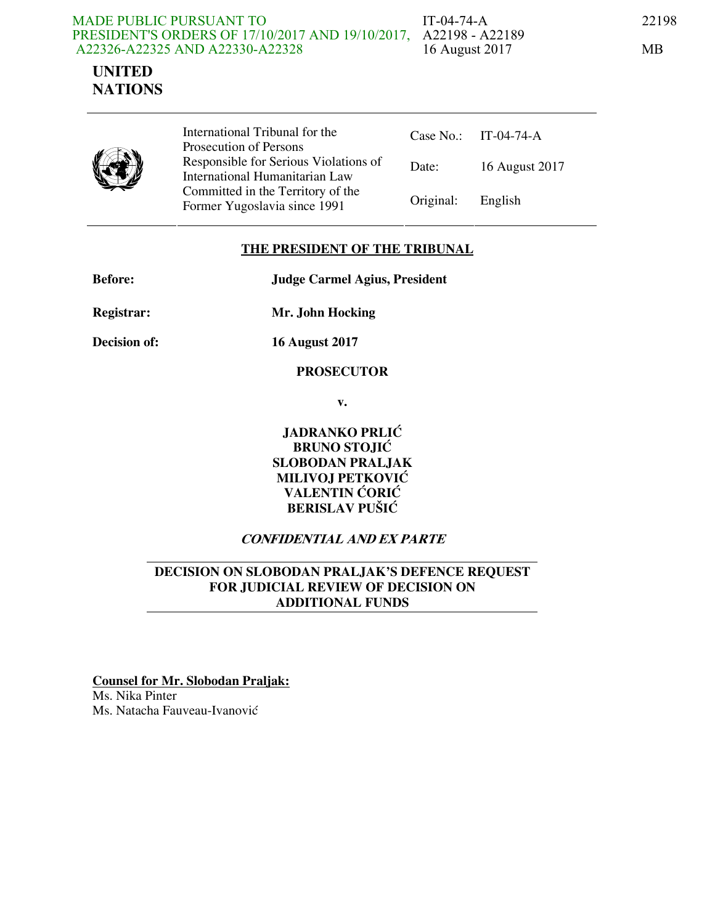#### PRESIDENT'S ORDERS OF 17/10/2017 AND 19/10/2017, A22198 - A22189 MADE PUBLIC PURSUANT TO A22326-A22325 AND A22330-A22328



IT-04-74-A 22198 16 August 2017 MB

|--|

International Tribunal for the Prosecution of Persons Responsible for Serious Violations of International Humanitarian Law Committed in the Territory of the Former Yugoslavia since 1991 Original: Eng

|           | Case No.: IT-04-74-A |
|-----------|----------------------|
| Date:     | 16 August 2017       |
| Original: | – English            |

### **THE PRESIDENT OF THE TRIBUNAL**

**Before: Judge Carmel Agius, President** 

**Registrar: Mr. John Hocking** 

**Decision of: 16 August 2017** 

### **PROSECUTOR**

**v.** 

**JADRANKO PRLIĆ BRUNO STOJIĆ SLOBODAN PRALJAK MILIVOJ PETKOVIĆ VALENTIN ĆORIĆ BERISLAV PUŠIĆ** 

## **CONFIDENTIAL AND EX PARTE**

### **DECISION ON SLOBODAN PRALJAK'S DEFENCE REQUEST FOR JUDICIAL REVIEW OF DECISION ON ADDITIONAL FUNDS**

**Counsel for Mr. Slobodan Praljak:** Ms. Nika Pinter Ms. Natacha Fauveau-Ivanović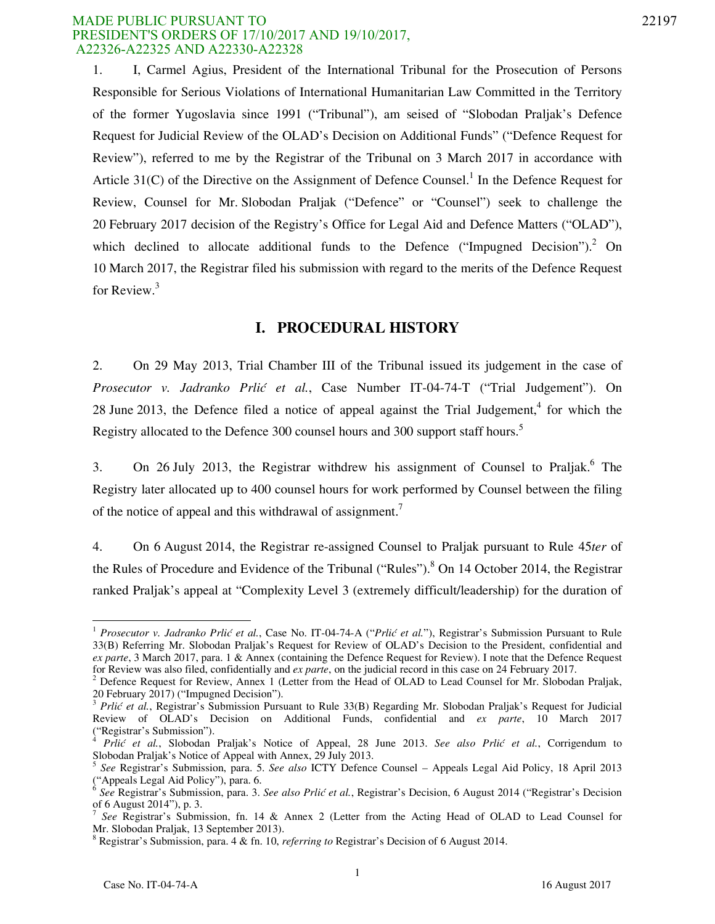1. I, Carmel Agius, President of the International Tribunal for the Prosecution of Persons Responsible for Serious Violations of International Humanitarian Law Committed in the Territory of the former Yugoslavia since 1991 ("Tribunal"), am seised of "Slobodan Praljak's Defence Request for Judicial Review of the OLAD's Decision on Additional Funds" ("Defence Request for Review"), referred to me by the Registrar of the Tribunal on 3 March 2017 in accordance with Article  $31(C)$  of the Directive on the Assignment of Defence Counsel.<sup>1</sup> In the Defence Request for Review, Counsel for Mr. Slobodan Praljak ("Defence" or "Counsel") seek to challenge the 20 February 2017 decision of the Registry's Office for Legal Aid and Defence Matters ("OLAD"), which declined to allocate additional funds to the Defence ("Impugned Decision").<sup>2</sup> On 10 March 2017, the Registrar filed his submission with regard to the merits of the Defence Request for Review.<sup>3</sup>

### **I. PROCEDURAL HISTORY**

2. On 29 May 2013, Trial Chamber III of the Tribunal issued its judgement in the case of *Prosecutor v. Jadranko Prlić et al.*, Case Number IT-04-74-T ("Trial Judgement"). On 28 June 2013, the Defence filed a notice of appeal against the Trial Judgement,<sup>4</sup> for which the Registry allocated to the Defence 300 counsel hours and 300 support staff hours.<sup>5</sup>

3. On 26 July 2013, the Registrar withdrew his assignment of Counsel to Praljak.<sup>6</sup> The Registry later allocated up to 400 counsel hours for work performed by Counsel between the filing of the notice of appeal and this withdrawal of assignment.<sup>7</sup>

4. On 6 August 2014, the Registrar re-assigned Counsel to Praljak pursuant to Rule 45*ter* of the Rules of Procedure and Evidence of the Tribunal ("Rules").<sup>8</sup> On 14 October 2014, the Registrar ranked Praljak's appeal at "Complexity Level 3 (extremely difficult/leadership) for the duration of

<sup>1</sup> *Prosecutor v. Jadranko Prlić et al.*, Case No. IT-04-74-A ("*Prlić et al.*"), Registrar's Submission Pursuant to Rule 33(B) Referring Mr. Slobodan Praljak's Request for Review of OLAD's Decision to the President, confidential and *ex parte*, 3 March 2017, para. 1 & Annex (containing the Defence Request for Review). I note that the Defence Request for Review was also filed, confidentially and *ex parte*, on the judicial record in this case on 24 February 2017.

<sup>&</sup>lt;sup>2</sup> Defence Request for Review, Annex 1 (Letter from the Head of OLAD to Lead Counsel for Mr. Slobodan Praljak, 20 February 2017) ("Impugned Decision").

<sup>&</sup>lt;sup>3</sup> Prlić et al., Registrar's Submission Pursuant to Rule 33(B) Regarding Mr. Slobodan Praljak's Request for Judicial Review of OLAD's Decision on Additional Funds, confidential and *ex parte*, 10 March 2017 ("Registrar's Submission").

*Prlić et al.*, Slobodan Praljak's Notice of Appeal, 28 June 2013. *See also Prlić et al.*, Corrigendum to Slobodan Praljak's Notice of Appeal with Annex, 29 July 2013.

<sup>5</sup> *See* Registrar's Submission, para. 5. *See also* ICTY Defence Counsel – Appeals Legal Aid Policy, 18 April 2013 ("Appeals Legal Aid Policy"), para. 6.

<sup>6</sup> *See* Registrar's Submission, para. 3. *See also Prlić et al.*, Registrar's Decision, 6 August 2014 ("Registrar's Decision of 6 August 2014"), p. 3.<br> $7\degree$  See Bogistrar's Submi

*See* Registrar's Submission, fn. 14 & Annex 2 (Letter from the Acting Head of OLAD to Lead Counsel for Mr. Slobodan Praljak, 13 September 2013).

<sup>8</sup> Registrar's Submission, para. 4 & fn. 10, *referring to* Registrar's Decision of 6 August 2014.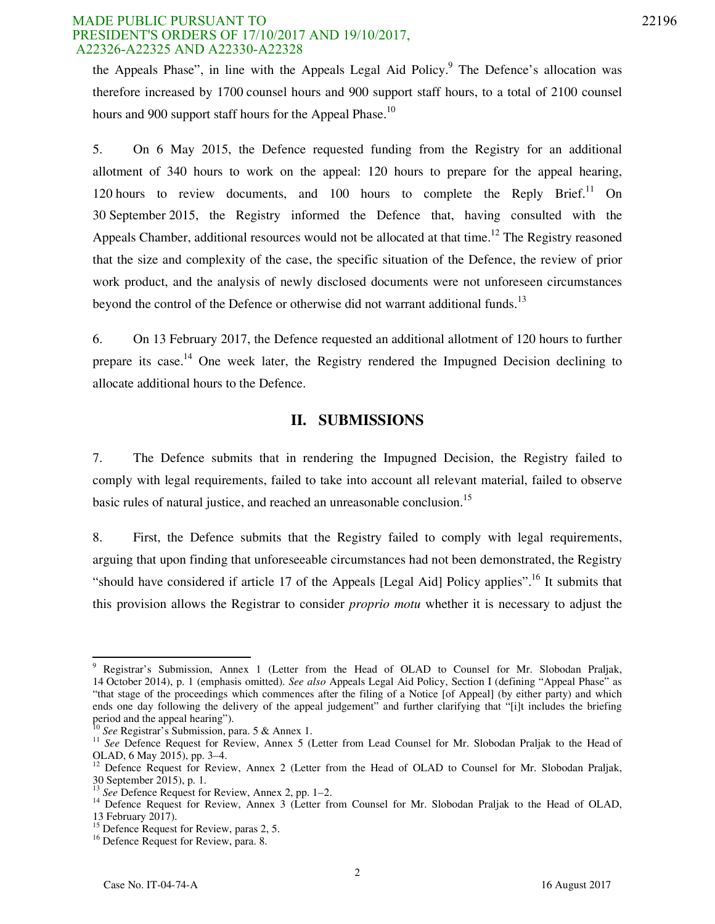#### MADE PUBLIC PURSUANT TO 22196 PRESIDENT'S ORDERS OF 17/10/2017 AND 19/10/2017, A22326-A22325 AND A22330-A22328

the Appeals Phase", in line with the Appeals Legal Aid Policy. $9$  The Defence's allocation was therefore increased by 1700 counsel hours and 900 support staff hours, to a total of 2100 counsel hours and 900 support staff hours for the Appeal Phase.<sup>10</sup>

5. On 6 May 2015, the Defence requested funding from the Registry for an additional allotment of 340 hours to work on the appeal: 120 hours to prepare for the appeal hearing, 120 hours to review documents, and 100 hours to complete the Reply Brief.<sup>11</sup> On 30 September 2015, the Registry informed the Defence that, having consulted with the Appeals Chamber, additional resources would not be allocated at that time.<sup>12</sup> The Registry reasoned that the size and complexity of the case, the specific situation of the Defence, the review of prior work product, and the analysis of newly disclosed documents were not unforeseen circumstances beyond the control of the Defence or otherwise did not warrant additional funds.<sup>13</sup>

6. On 13 February 2017, the Defence requested an additional allotment of 120 hours to further prepare its case.<sup>14</sup> One week later, the Registry rendered the Impugned Decision declining to allocate additional hours to the Defence.

## **II. SUBMISSIONS**

7. The Defence submits that in rendering the Impugned Decision, the Registry failed to comply with legal requirements, failed to take into account all relevant material, failed to observe basic rules of natural justice, and reached an unreasonable conclusion.<sup>15</sup>

8. First, the Defence submits that the Registry failed to comply with legal requirements, arguing that upon finding that unforeseeable circumstances had not been demonstrated, the Registry "should have considered if article 17 of the Appeals [Legal Aid] Policy applies".<sup>16</sup> It submits that this provision allows the Registrar to consider *proprio motu* whether it is necessary to adjust the

Pegistrar's Submission, Annex 1 (Letter from the Head of OLAD to Counsel for Mr. Slobodan Praljak, 14 October 2014), p. 1 (emphasis omitted). *See also* Appeals Legal Aid Policy, Section I (defining "Appeal Phase" as "that stage of the proceedings which commences after the filing of a Notice [of Appeal] (by either party) and which ends one day following the delivery of the appeal judgement" and further clarifying that "[i]t includes the briefing period and the appeal hearing").

<sup>10</sup> *See* Registrar's Submission, para. 5 & Annex 1.

<sup>&</sup>lt;sup>11</sup> *See* Defence Request for Review, Annex 5 (Letter from Lead Counsel for Mr. Slobodan Praljak to the Head of OLAD, 6 May 2015), pp. 3–4.

<sup>&</sup>lt;sup>12</sup> Defence Request for Review, Annex 2 (Letter from the Head of OLAD to Counsel for Mr. Slobodan Praljak, 30 September 2015), p. 1.

<sup>&</sup>lt;sup>13</sup> See Defence Request for Review, Annex 2, pp. 1–2.

<sup>&</sup>lt;sup>14</sup> Defence Request for Review, Annex 3 (Letter from Counsel for Mr. Slobodan Praljak to the Head of OLAD, 13 February 2017).

<sup>&</sup>lt;sup>15</sup> Defence Request for Review, paras 2, 5.

<sup>&</sup>lt;sup>16</sup> Defence Request for Review, para. 8.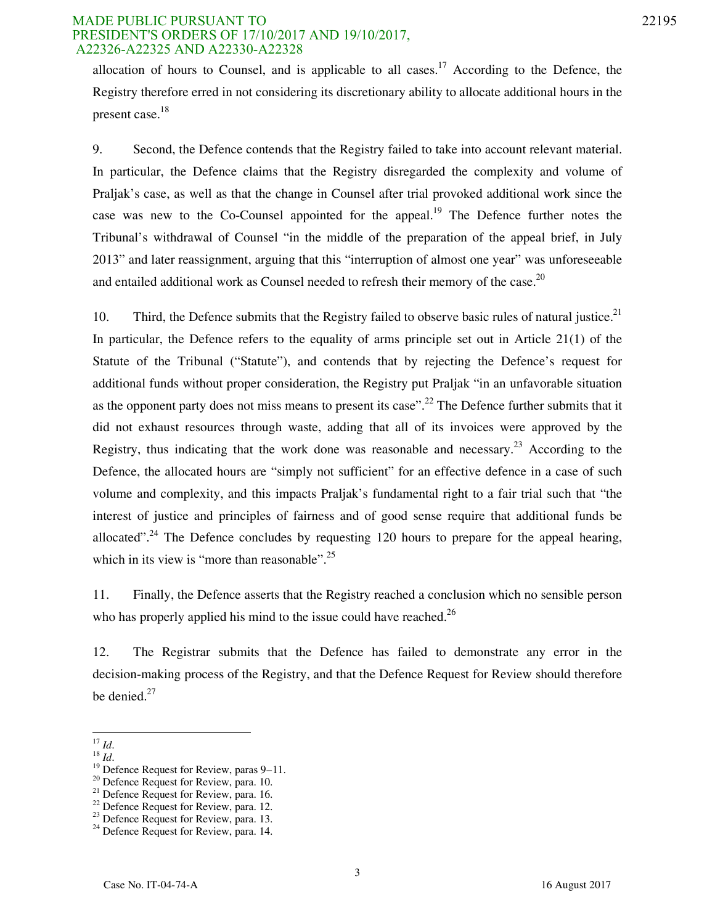#### MADE PUBLIC PURSUANT TO 22195 PRESIDENT'S ORDERS OF 17/10/2017 AND 19/10/2017, A22326-A22325 AND A22330-A22328

allocation of hours to Counsel, and is applicable to all cases.<sup>17</sup> According to the Defence, the Registry therefore erred in not considering its discretionary ability to allocate additional hours in the present case.<sup>18</sup>

9. Second, the Defence contends that the Registry failed to take into account relevant material. In particular, the Defence claims that the Registry disregarded the complexity and volume of Praljak's case, as well as that the change in Counsel after trial provoked additional work since the case was new to the Co-Counsel appointed for the appeal.<sup>19</sup> The Defence further notes the Tribunal's withdrawal of Counsel "in the middle of the preparation of the appeal brief, in July 2013" and later reassignment, arguing that this "interruption of almost one year" was unforeseeable and entailed additional work as Counsel needed to refresh their memory of the case.<sup>20</sup>

10. Third, the Defence submits that the Registry failed to observe basic rules of natural justice.<sup>21</sup> In particular, the Defence refers to the equality of arms principle set out in Article 21(1) of the Statute of the Tribunal ("Statute"), and contends that by rejecting the Defence's request for additional funds without proper consideration, the Registry put Praljak "in an unfavorable situation as the opponent party does not miss means to present its case".<sup>22</sup> The Defence further submits that it did not exhaust resources through waste, adding that all of its invoices were approved by the Registry, thus indicating that the work done was reasonable and necessary.<sup>23</sup> According to the Defence, the allocated hours are "simply not sufficient" for an effective defence in a case of such volume and complexity, and this impacts Praljak's fundamental right to a fair trial such that "the interest of justice and principles of fairness and of good sense require that additional funds be allocated".<sup>24</sup> The Defence concludes by requesting 120 hours to prepare for the appeal hearing, which in its view is "more than reasonable".<sup>25</sup>

11. Finally, the Defence asserts that the Registry reached a conclusion which no sensible person who has properly applied his mind to the issue could have reached. $^{26}$ 

12. The Registrar submits that the Defence has failed to demonstrate any error in the decision-making process of the Registry, and that the Defence Request for Review should therefore be denied. $27$ 

<sup>-</sup><sup>17</sup> *Id*.

 $^{18}$  *Id*.

 $19^{19}$  Defence Request for Review, paras 9–11.

<sup>&</sup>lt;sup>20</sup> Defence Request for Review, para. 10.

<sup>&</sup>lt;sup>21</sup> Defence Request for Review, para. 16.

 $^{22}$  Defence Request for Review, para. 12.

<sup>&</sup>lt;sup>23</sup> Defence Request for Review, para. 13.

<sup>&</sup>lt;sup>24</sup> Defence Request for Review, para. 14.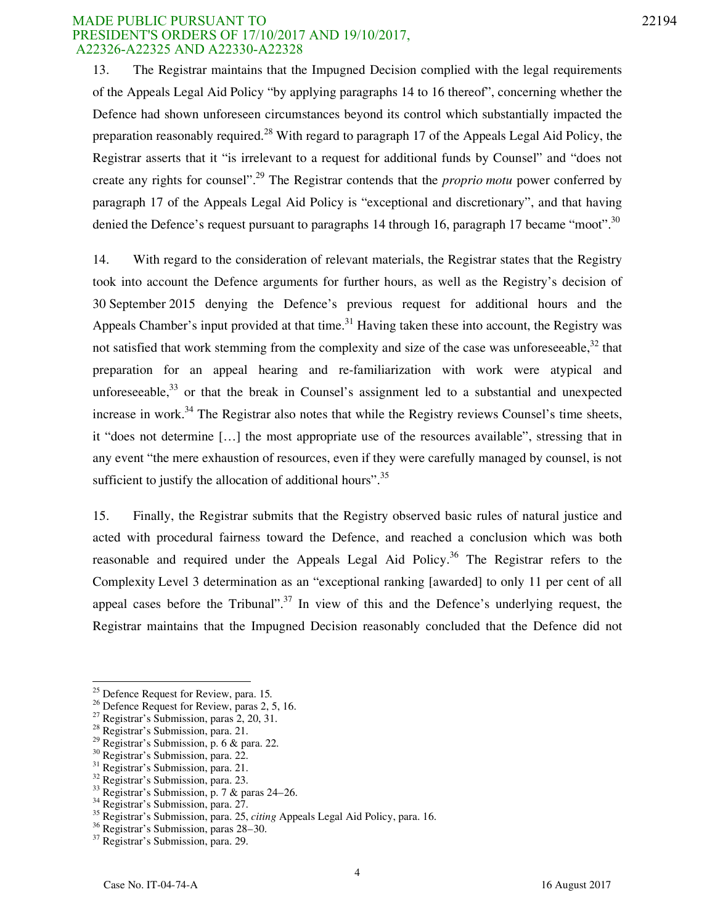#### MADE PUBLIC PURSUANT TO 22194 PRESIDENT'S ORDERS OF 17/10/2017 AND 19/10/2017, A22326-A22325 AND A22330-A22328

13. The Registrar maintains that the Impugned Decision complied with the legal requirements of the Appeals Legal Aid Policy "by applying paragraphs 14 to 16 thereof", concerning whether the Defence had shown unforeseen circumstances beyond its control which substantially impacted the preparation reasonably required.<sup>28</sup> With regard to paragraph 17 of the Appeals Legal Aid Policy, the Registrar asserts that it "is irrelevant to a request for additional funds by Counsel" and "does not create any rights for counsel".<sup>29</sup> The Registrar contends that the *proprio motu* power conferred by paragraph 17 of the Appeals Legal Aid Policy is "exceptional and discretionary", and that having denied the Defence's request pursuant to paragraphs 14 through 16, paragraph 17 became "moot".<sup>30</sup>

14. With regard to the consideration of relevant materials, the Registrar states that the Registry took into account the Defence arguments for further hours, as well as the Registry's decision of 30 September 2015 denying the Defence's previous request for additional hours and the Appeals Chamber's input provided at that time.<sup>31</sup> Having taken these into account, the Registry was not satisfied that work stemming from the complexity and size of the case was unforeseeable, $32$  that preparation for an appeal hearing and re-familiarization with work were atypical and unforeseeable, $33$  or that the break in Counsel's assignment led to a substantial and unexpected increase in work.<sup>34</sup> The Registrar also notes that while the Registry reviews Counsel's time sheets, it "does not determine [...] the most appropriate use of the resources available", stressing that in any event "the mere exhaustion of resources, even if they were carefully managed by counsel, is not sufficient to justify the allocation of additional hours".  $35$ 

15. Finally, the Registrar submits that the Registry observed basic rules of natural justice and acted with procedural fairness toward the Defence, and reached a conclusion which was both reasonable and required under the Appeals Legal Aid Policy.<sup>36</sup> The Registrar refers to the Complexity Level 3 determination as an "exceptional ranking [awarded] to only 11 per cent of all appeal cases before the Tribunal".<sup>37</sup> In view of this and the Defence's underlying request, the Registrar maintains that the Impugned Decision reasonably concluded that the Defence did not

<sup>25</sup> Defence Request for Review, para. 15*.*

<sup>&</sup>lt;sup>26</sup> Defence Request for Review, paras 2, 5, 16.

<sup>&</sup>lt;sup>27</sup> Registrar's Submission, paras  $2, 20, 31$ .

<sup>28</sup> Registrar's Submission, para. 21.

<sup>29</sup> Registrar's Submission, p. 6 & para. 22.

<sup>30</sup> Registrar's Submission, para. 22.

<sup>&</sup>lt;sup>31</sup> Registrar's Submission, para. 21.

<sup>&</sup>lt;sup>32</sup> Registrar's Submission, para. 23.

 $33$  Registrar's Submission, p. 7 & paras 24–26.

<sup>&</sup>lt;sup>34</sup> Registrar's Submission, para. 27.

<sup>35</sup> Registrar's Submission, para. 25, *citing* Appeals Legal Aid Policy, para. 16.

<sup>36</sup> Registrar's Submission, paras 28–30.

<sup>&</sup>lt;sup>37</sup> Registrar's Submission, para. 29.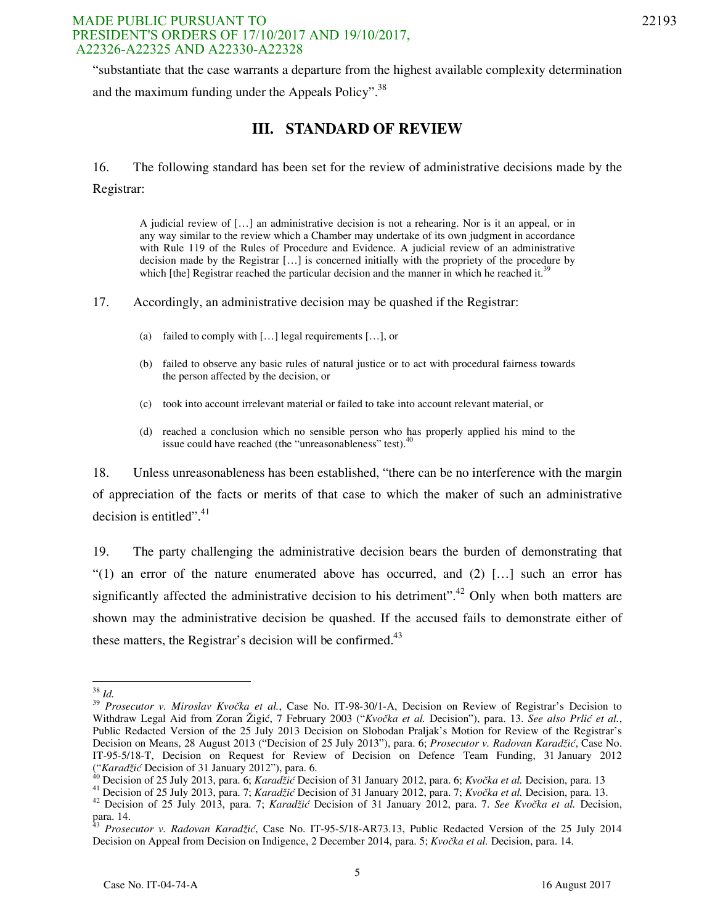#### MADE PUBLIC PURSUANT TO 22193 PRESIDENT'S ORDERS OF 17/10/2017 AND 19/10/2017, A22326-A22325 AND A22330-A22328

"substantiate that the case warrants a departure from the highest available complexity determination and the maximum funding under the Appeals Policy". $38$ 

# **III. STANDARD OF REVIEW**

16. The following standard has been set for the review of administrative decisions made by the Registrar:

A judicial review of […] an administrative decision is not a rehearing. Nor is it an appeal, or in any way similar to the review which a Chamber may undertake of its own judgment in accordance with Rule 119 of the Rules of Procedure and Evidence. A judicial review of an administrative decision made by the Registrar […] is concerned initially with the propriety of the procedure by which [the] Registrar reached the particular decision and the manner in which he reached it.<sup>39</sup>

17. Accordingly, an administrative decision may be quashed if the Registrar:

- (a) failed to comply with  $[...]$  legal requirements  $[...]$ , or
- (b) failed to observe any basic rules of natural justice or to act with procedural fairness towards the person affected by the decision, or
- (c) took into account irrelevant material or failed to take into account relevant material, or
- (d) reached a conclusion which no sensible person who has properly applied his mind to the issue could have reached (the "unreasonableness" test).<sup>40</sup>

18. Unless unreasonableness has been established, "there can be no interference with the margin of appreciation of the facts or merits of that case to which the maker of such an administrative decision is entitled". $41$ 

19. The party challenging the administrative decision bears the burden of demonstrating that "(1) an error of the nature enumerated above has occurred, and  $(2)$  [...] such an error has significantly affected the administrative decision to his detriment".<sup>42</sup> Only when both matters are shown may the administrative decision be quashed. If the accused fails to demonstrate either of these matters, the Registrar's decision will be confirmed. $43$ 

<sup>-</sup><sup>38</sup> *Id.*

<sup>&</sup>lt;sup>39</sup> *Prosecutor v. Miroslav Kvočka et al.*, Case No. IT-98-30/1-A, Decision on Review of Registrar's Decision to Withdraw Legal Aid from Zoran Žigić, 7 February 2003 ("*Kvočka et al.* Decision"), para. 13. *See also Prlić et al.*, Public Redacted Version of the 25 July 2013 Decision on Slobodan Praljak's Motion for Review of the Registrar's Decision on Means, 28 August 2013 ("Decision of 25 July 2013"), para. 6; *Prosecutor v. Radovan Karadžić*, Case No. IT-95-5/18-T, Decision on Request for Review of Decision on Defence Team Funding, 31 January 2012 ("*Karadžić* Decision of 31 January 2012"), para. 6.

<sup>40</sup> Decision of 25 July 2013, para. 6; *Karadžić* Decision of 31 January 2012, para. 6; *Kvočka et al.* Decision, para. 13

<sup>41</sup> Decision of 25 July 2013, para. 7; *Karadžić* Decision of 31 January 2012, para. 7; *Kvočka et al.* Decision, para. 13.

<sup>42</sup> Decision of 25 July 2013, para. 7; *Karadžić* Decision of 31 January 2012, para. 7. *See Kvočka et al.* Decision, para. 14.

<sup>43</sup> *Prosecutor v. Radovan Karadžić*, Case No. IT-95-5/18-AR73.13, Public Redacted Version of the 25 July 2014 Decision on Appeal from Decision on Indigence, 2 December 2014, para. 5; *Kvočka et al.* Decision, para. 14.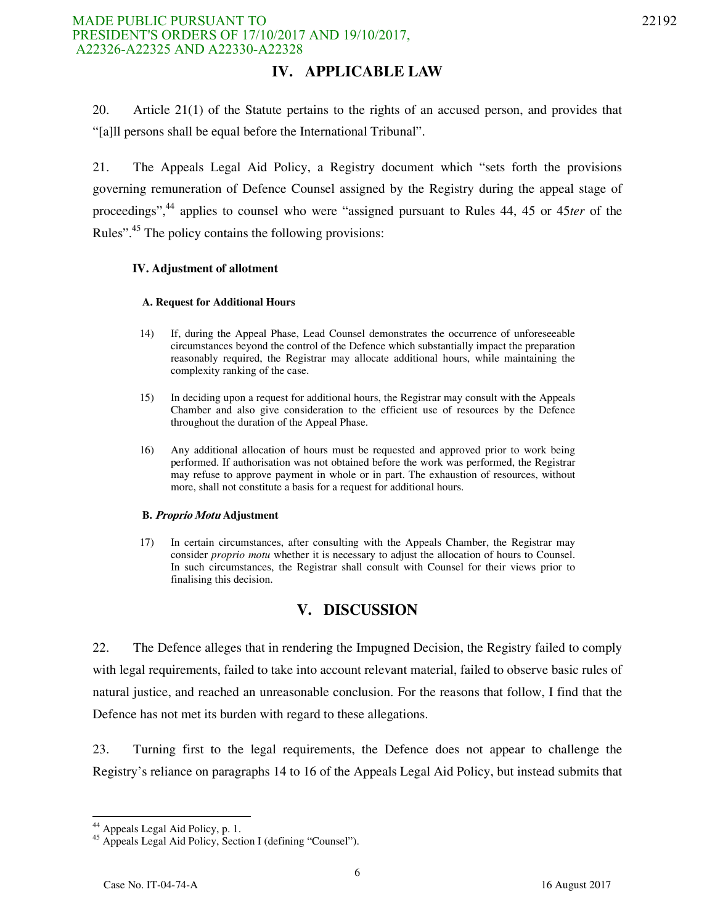20. Article 21(1) of the Statute pertains to the rights of an accused person, and provides that "[a]ll persons shall be equal before the International Tribunal".

21. The Appeals Legal Aid Policy, a Registry document which "sets forth the provisions governing remuneration of Defence Counsel assigned by the Registry during the appeal stage of proceedings",<sup>44</sup> applies to counsel who were "assigned pursuant to Rules 44, 45 or 45*ter* of the Rules"<sup>45</sup>. The policy contains the following provisions:

#### **IV. Adjustment of allotment**

#### **A. Request for Additional Hours**

- 14) If, during the Appeal Phase, Lead Counsel demonstrates the occurrence of unforeseeable circumstances beyond the control of the Defence which substantially impact the preparation reasonably required, the Registrar may allocate additional hours, while maintaining the complexity ranking of the case.
- 15) In deciding upon a request for additional hours, the Registrar may consult with the Appeals Chamber and also give consideration to the efficient use of resources by the Defence throughout the duration of the Appeal Phase.
- 16) Any additional allocation of hours must be requested and approved prior to work being performed. If authorisation was not obtained before the work was performed, the Registrar may refuse to approve payment in whole or in part. The exhaustion of resources, without more, shall not constitute a basis for a request for additional hours.

#### **B. Proprio Motu Adjustment**

17) In certain circumstances, after consulting with the Appeals Chamber, the Registrar may consider *proprio motu* whether it is necessary to adjust the allocation of hours to Counsel. In such circumstances, the Registrar shall consult with Counsel for their views prior to finalising this decision.

# **V. DISCUSSION**

22. The Defence alleges that in rendering the Impugned Decision, the Registry failed to comply with legal requirements, failed to take into account relevant material, failed to observe basic rules of natural justice, and reached an unreasonable conclusion. For the reasons that follow, I find that the Defence has not met its burden with regard to these allegations.

23. Turning first to the legal requirements, the Defence does not appear to challenge the Registry's reliance on paragraphs 14 to 16 of the Appeals Legal Aid Policy, but instead submits that

<sup>&</sup>lt;sup>44</sup> Appeals Legal Aid Policy, p. 1.

<sup>&</sup>lt;sup>45</sup> Appeals Legal Aid Policy, Section I (defining "Counsel").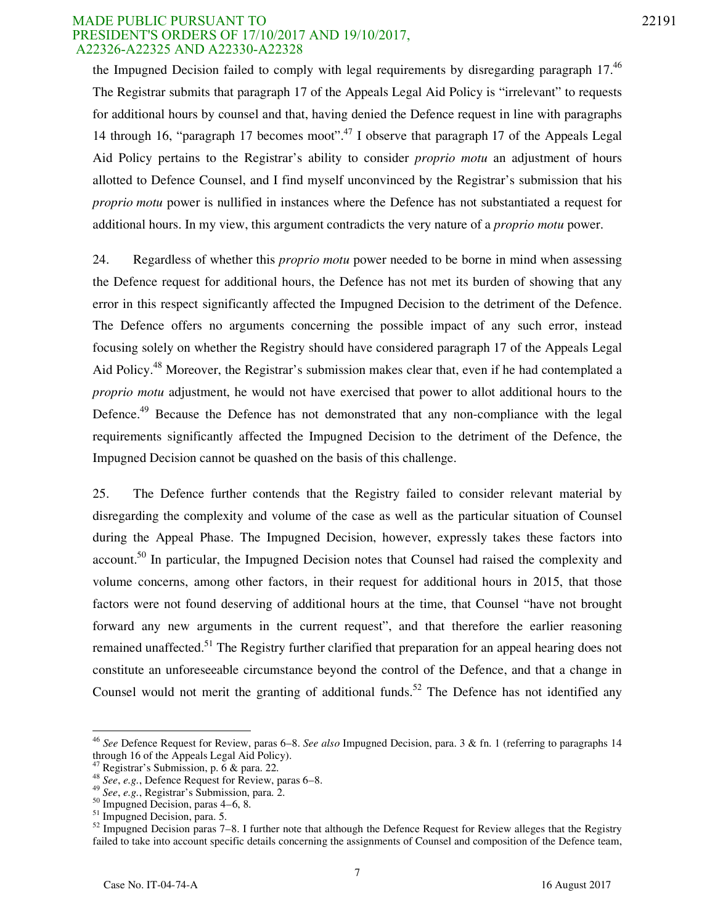#### MADE PUBLIC PURSUANT TO 22191 PRESIDENT'S ORDERS OF 17/10/2017 AND 19/10/2017, A22326-A22325 AND A22330-A22328

the Impugned Decision failed to comply with legal requirements by disregarding paragraph  $17<sup>46</sup>$ The Registrar submits that paragraph 17 of the Appeals Legal Aid Policy is "irrelevant" to requests for additional hours by counsel and that, having denied the Defence request in line with paragraphs 14 through 16, "paragraph 17 becomes moot".<sup>47</sup> I observe that paragraph 17 of the Appeals Legal Aid Policy pertains to the Registrar's ability to consider *proprio motu* an adjustment of hours allotted to Defence Counsel, and I find myself unconvinced by the Registrar's submission that his *proprio motu* power is nullified in instances where the Defence has not substantiated a request for additional hours. In my view, this argument contradicts the very nature of a *proprio motu* power.

24. Regardless of whether this *proprio motu* power needed to be borne in mind when assessing the Defence request for additional hours, the Defence has not met its burden of showing that any error in this respect significantly affected the Impugned Decision to the detriment of the Defence. The Defence offers no arguments concerning the possible impact of any such error, instead focusing solely on whether the Registry should have considered paragraph 17 of the Appeals Legal Aid Policy.<sup>48</sup> Moreover, the Registrar's submission makes clear that, even if he had contemplated a *proprio motu* adjustment, he would not have exercised that power to allot additional hours to the Defence.<sup>49</sup> Because the Defence has not demonstrated that any non-compliance with the legal requirements significantly affected the Impugned Decision to the detriment of the Defence, the Impugned Decision cannot be quashed on the basis of this challenge.

25. The Defence further contends that the Registry failed to consider relevant material by disregarding the complexity and volume of the case as well as the particular situation of Counsel during the Appeal Phase. The Impugned Decision, however, expressly takes these factors into account.<sup>50</sup> In particular, the Impugned Decision notes that Counsel had raised the complexity and volume concerns, among other factors, in their request for additional hours in 2015, that those factors were not found deserving of additional hours at the time, that Counsel "have not brought forward any new arguments in the current request", and that therefore the earlier reasoning remained unaffected.<sup>51</sup> The Registry further clarified that preparation for an appeal hearing does not constitute an unforeseeable circumstance beyond the control of the Defence, and that a change in Counsel would not merit the granting of additional funds.<sup>52</sup> The Defence has not identified any

<sup>46</sup> *See* Defence Request for Review, paras 6–8. *See also* Impugned Decision, para. 3 & fn. 1 (referring to paragraphs 14 through 16 of the Appeals Legal Aid Policy).

 $47$  Registrar's Submission, p.  $\overline{6}$  & para. 22.

<sup>48</sup> *See*, *e.g.*, Defence Request for Review, paras 6–8.

<sup>49</sup> *See*, *e.g.*, Registrar's Submission, para. 2.

 $50 \text{ Impugned Decision, paras } 4-6, 8.$ 

<sup>&</sup>lt;sup>51</sup> Impugned Decision, para. 5.

 $52$  Impugned Decision paras 7–8. I further note that although the Defence Request for Review alleges that the Registry failed to take into account specific details concerning the assignments of Counsel and composition of the Defence team,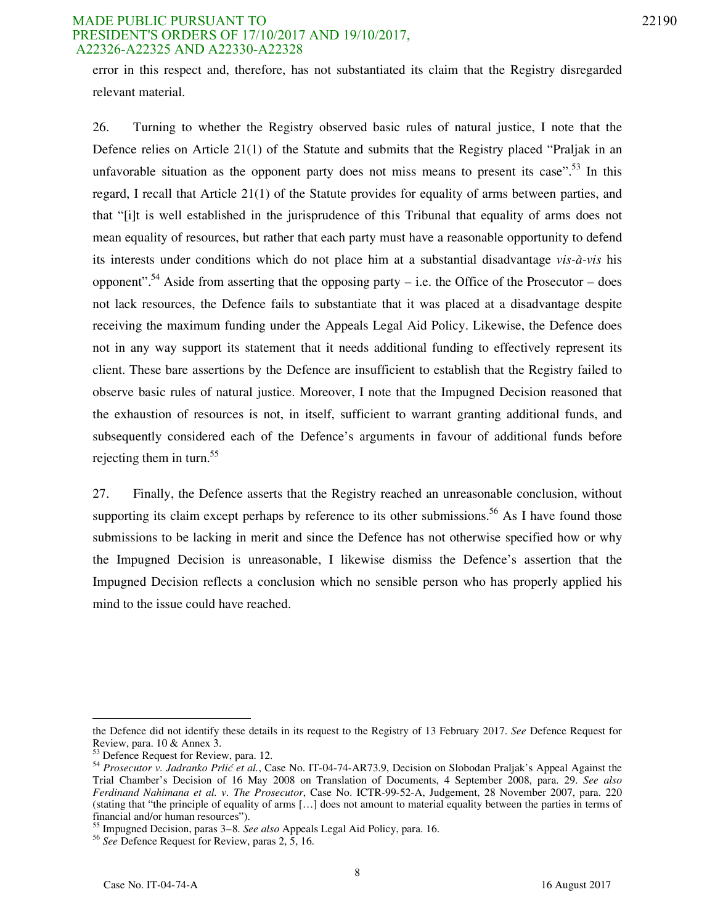#### MADE PUBLIC PURSUANT TO 22190 PRESIDENT'S ORDERS OF 17/10/2017 AND 19/10/2017, A22326-A22325 AND A22330-A22328

error in this respect and, therefore, has not substantiated its claim that the Registry disregarded relevant material.

26. Turning to whether the Registry observed basic rules of natural justice, I note that the Defence relies on Article 21(1) of the Statute and submits that the Registry placed "Praljak in an unfavorable situation as the opponent party does not miss means to present its case".<sup>53</sup> In this regard, I recall that Article 21(1) of the Statute provides for equality of arms between parties, and that "[i]t is well established in the jurisprudence of this Tribunal that equality of arms does not mean equality of resources, but rather that each party must have a reasonable opportunity to defend its interests under conditions which do not place him at a substantial disadvantage *vis-à-vis* his opponent".<sup>54</sup> Aside from asserting that the opposing party – i.e. the Office of the Prosecutor – does not lack resources, the Defence fails to substantiate that it was placed at a disadvantage despite receiving the maximum funding under the Appeals Legal Aid Policy. Likewise, the Defence does not in any way support its statement that it needs additional funding to effectively represent its client. These bare assertions by the Defence are insufficient to establish that the Registry failed to observe basic rules of natural justice. Moreover, I note that the Impugned Decision reasoned that the exhaustion of resources is not, in itself, sufficient to warrant granting additional funds, and subsequently considered each of the Defence's arguments in favour of additional funds before rejecting them in turn.<sup>55</sup>

27. Finally, the Defence asserts that the Registry reached an unreasonable conclusion, without supporting its claim except perhaps by reference to its other submissions.<sup>56</sup> As I have found those submissions to be lacking in merit and since the Defence has not otherwise specified how or why the Impugned Decision is unreasonable, I likewise dismiss the Defence's assertion that the Impugned Decision reflects a conclusion which no sensible person who has properly applied his mind to the issue could have reached.

the Defence did not identify these details in its request to the Registry of 13 February 2017. *See* Defence Request for Review, para. 10 & Annex 3.

<sup>&</sup>lt;sup>53</sup> Defence Request for Review, para. 12.

<sup>54</sup> *Prosecutor v. Jadranko Prlić et al.*, Case No. IT-04-74-AR73.9, Decision on Slobodan Praljak's Appeal Against the Trial Chamber's Decision of 16 May 2008 on Translation of Documents, 4 September 2008, para. 29. *See also Ferdinand Nahimana et al. v. The Prosecutor*, Case No. ICTR-99-52-A, Judgement, 28 November 2007, para. 220 (stating that "the principle of equality of arms [...] does not amount to material equality between the parties in terms of financial and/or human resources").

<sup>55</sup> Impugned Decision, paras 3–8. *See also* Appeals Legal Aid Policy, para. 16.

<sup>56</sup> *See* Defence Request for Review, paras 2, 5, 16.